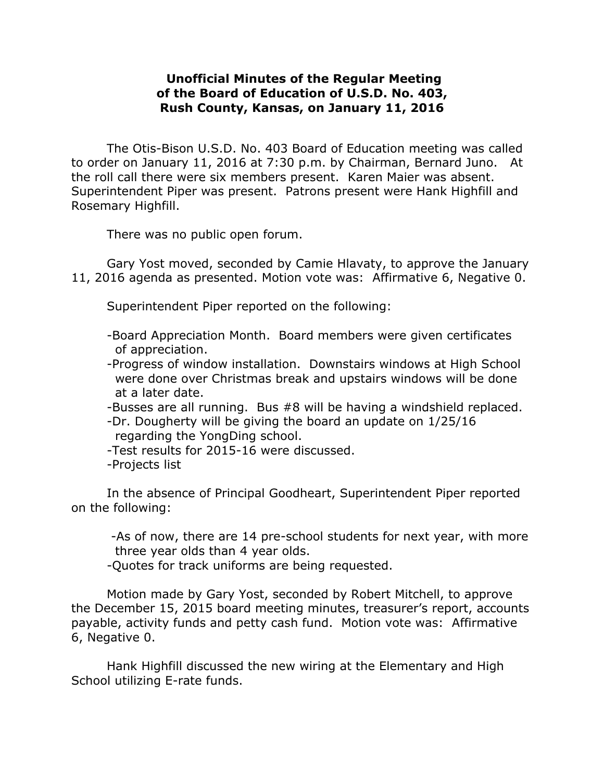## **Unofficial Minutes of the Regular Meeting of the Board of Education of U.S.D. No. 403, Rush County, Kansas, on January 11, 2016**

The Otis-Bison U.S.D. No. 403 Board of Education meeting was called to order on January 11, 2016 at 7:30 p.m. by Chairman, Bernard Juno. At the roll call there were six members present. Karen Maier was absent. Superintendent Piper was present. Patrons present were Hank Highfill and Rosemary Highfill.

There was no public open forum.

Gary Yost moved, seconded by Camie Hlavaty, to approve the January 11, 2016 agenda as presented. Motion vote was: Affirmative 6, Negative 0.

Superintendent Piper reported on the following:

- -Board Appreciation Month. Board members were given certificates of appreciation.
- -Progress of window installation. Downstairs windows at High School were done over Christmas break and upstairs windows will be done at a later date.
- -Busses are all running. Bus #8 will be having a windshield replaced.
- -Dr. Dougherty will be giving the board an update on 1/25/16 regarding the YongDing school.
- -Test results for 2015-16 were discussed.
- -Projects list

In the absence of Principal Goodheart, Superintendent Piper reported on the following:

-As of now, there are 14 pre-school students for next year, with more three year olds than 4 year olds.

-Quotes for track uniforms are being requested.

Motion made by Gary Yost, seconded by Robert Mitchell, to approve the December 15, 2015 board meeting minutes, treasurer's report, accounts payable, activity funds and petty cash fund. Motion vote was: Affirmative 6, Negative 0.

Hank Highfill discussed the new wiring at the Elementary and High School utilizing E-rate funds.